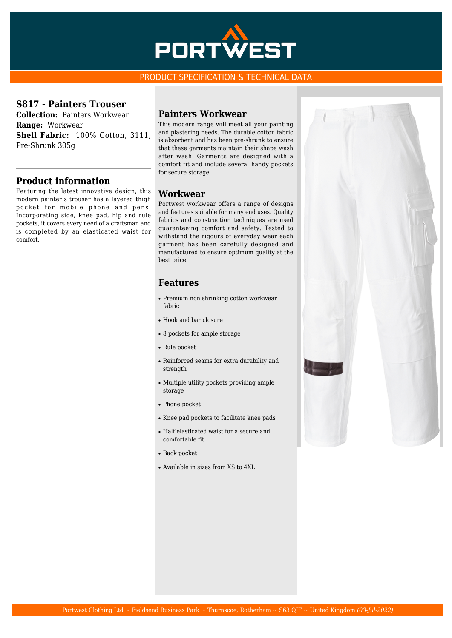

#### PRODUCT SPECIFICATION & TECHNICAL DATA

#### **S817 - Painters Trouser**

**Collection:** Painters Workwear **Range:** Workwear **Shell Fabric:** 100% Cotton, 3111, Pre-Shrunk 305g

### **Product information**

Featuring the latest innovative design, this modern painter's trouser has a layered thigh pocket for mobile phone and pens. Incorporating side, knee pad, hip and rule pockets, it covers every need of a craftsman and is completed by an elasticated waist for comfort.

#### **Painters Workwear**

This modern range will meet all your painting and plastering needs. The durable cotton fabric is absorbent and has been pre-shrunk to ensure that these garments maintain their shape wash after wash. Garments are designed with a comfort fit and include several handy pockets for secure storage.

### **Workwear**

Portwest workwear offers a range of designs and features suitable for many end uses. Quality fabrics and construction techniques are used guaranteeing comfort and safety. Tested to withstand the rigours of everyday wear each garment has been carefully designed and manufactured to ensure optimum quality at the best price.

## **Features**

- Premium non shrinking cotton workwear fabric
- Hook and bar closure
- 8 pockets for ample storage
- Rule pocket
- Reinforced seams for extra durability and strength
- Multiple utility pockets providing ample storage
- Phone pocket
- Knee pad pockets to facilitate knee pads
- Half elasticated waist for a secure and comfortable fit
- Back pocket
- Available in sizes from XS to 4XL